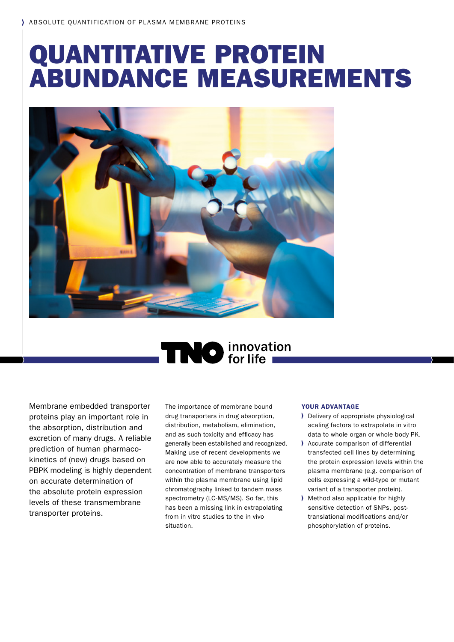## QUANTITATIVE PROTEIN ABUNDANCE MEASUREMENTS



# **NO** innovation

Membrane embedded transporter proteins play an important role in the absorption, distribution and excretion of many drugs. A reliable prediction of human pharmacokinetics of (new) drugs based on PBPK modeling is highly dependent on accurate determination of the absolute protein expression levels of these transmembrane transporter proteins.

The importance of membrane bound drug transporters in drug absorption, distribution, metabolism, elimination, and as such toxicity and efficacy has generally been established and recognized. Making use of recent developments we are now able to accurately measure the concentration of membrane transporters within the plasma membrane using lipid chromatography linked to tandem mass spectrometry (LC-MS/MS). So far, this has been a missing link in extrapolating from in vitro studies to the in vivo situation.

## YOUR ADVANTAGE

- Delivery of appropriate physiological scaling factors to extrapolate in vitro data to whole organ or whole body PK.
- Accurate comparison of differential transfected cell lines by determining the protein expression levels within the plasma membrane (e.g. comparison of cells expressing a wild-type or mutant variant of a transporter protein).
- Method also applicable for highly sensitive detection of SNPs, posttranslational modifications and/or phosphorylation of proteins.